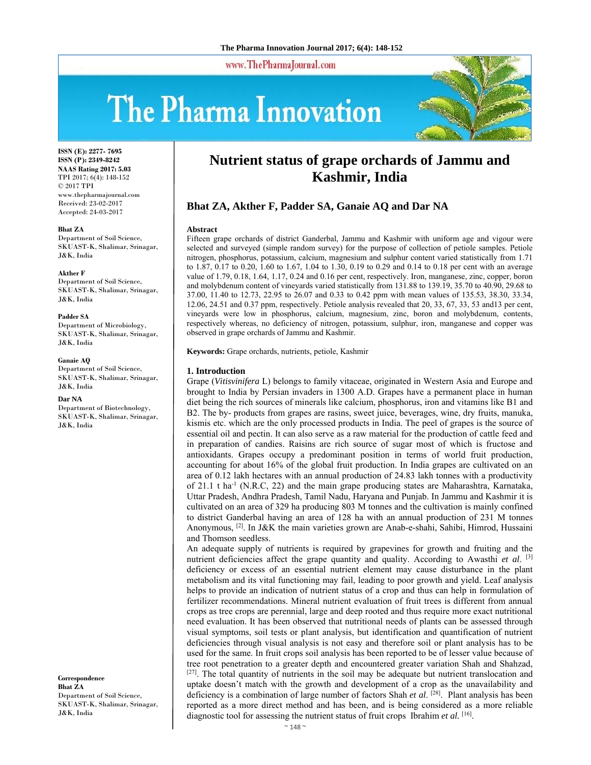www.ThePharmaJournal.com

# The Pharma Innovation



**ISSN (E): 2277- 7695 ISSN (P): 2349-8242 NAAS Rating 2017: 5.03** TPI 2017; 6(4): 148-152 © 2017 TPI www.thepharmajournal.com Received: 23-02-2017 Accepted: 24-03-2017

**Bhat ZA**  Department of Soil Science, SKUAST-K, Shalimar, Srinagar, J&K, India

#### **Akther F**

Department of Soil Science, SKUAST-K, Shalimar, Srinagar, J&K, India

#### **Padder SA**

Department of Microbiology, SKUAST-K, Shalimar, Srinagar, J&K, India

#### **Ganaie AQ**

Department of Soil Science, SKUAST-K, Shalimar, Srinagar, J&K, India

#### **Dar NA**

Department of Biotechnology, SKUAST-K, Shalimar, Srinagar, J&K, India

**Correspondence Bhat ZA**  Department of Soil Science, SKUAST-K, Shalimar, Srinagar, J&K, India

# **Nutrient status of grape orchards of Jammu and Kashmir, India**

# **Bhat ZA, Akther F, Padder SA, Ganaie AQ and Dar NA**

#### **Abstract**

Fifteen grape orchards of district Ganderbal, Jammu and Kashmir with uniform age and vigour were selected and surveyed (simple random survey) for the purpose of collection of petiole samples. Petiole nitrogen, phosphorus, potassium, calcium, magnesium and sulphur content varied statistically from 1.71 to 1.87, 0.17 to 0.20, 1.60 to 1.67, 1.04 to 1.30, 0.19 to 0.29 and 0.14 to 0.18 per cent with an average value of 1.79, 0.18, 1.64, 1.17, 0.24 and 0.16 per cent, respectively. Iron, manganese, zinc, copper, boron and molybdenum content of vineyards varied statistically from 131.88 to 139.19, 35.70 to 40.90, 29.68 to 37.00, 11.40 to 12.73, 22.95 to 26.07 and 0.33 to 0.42 ppm with mean values of 135.53, 38.30, 33.34, 12.06, 24.51 and 0.37 ppm, respectively. Petiole analysis revealed that 20, 33, 67, 33, 53 and13 per cent, vineyards were low in phosphorus, calcium, magnesium, zinc, boron and molybdenum, contents, respectively whereas, no deficiency of nitrogen, potassium, sulphur, iron, manganese and copper was observed in grape orchards of Jammu and Kashmir.

**Keywords:** Grape orchards, nutrients, petiole, Kashmir

#### **1. Introduction**

Grape (*Vitisvinifera* L) belongs to family vitaceae, originated in Western Asia and Europe and brought to India by Persian invaders in 1300 A.D. Grapes have a permanent place in human diet being the rich sources of minerals like calcium, phosphorus, iron and vitamins like B1 and B2. The by- products from grapes are rasins, sweet juice, beverages, wine, dry fruits, manuka, kismis etc. which are the only processed products in India. The peel of grapes is the source of essential oil and pectin. It can also serve as a raw material for the production of cattle feed and in preparation of candies. Raisins are rich source of sugar most of which is fructose and antioxidants. Grapes occupy a predominant position in terms of world fruit production, accounting for about 16% of the global fruit production. In India grapes are cultivated on an area of 0.12 lakh hectares with an annual production of 24.83 lakh tonnes with a productivity of 21.1 t ha<sup>-1</sup> (N.R.C, 22) and the main grape producing states are Maharashtra, Karnataka, Uttar Pradesh, Andhra Pradesh, Tamil Nadu, Haryana and Punjab. In Jammu and Kashmir it is cultivated on an area of 329 ha producing 803 M tonnes and the cultivation is mainly confined to district Ganderbal having an area of 128 ha with an annual production of 231 M tonnes Anonymous, [2]. In J&K the main varieties grown are Anab-e-shahi, Sahibi, Himrod, Hussaini and Thomson seedless.

An adequate supply of nutrients is required by grapevines for growth and fruiting and the nutrient deficiencies affect the grape quantity and quality. According to Awasthi *et al.* [3] deficiency or excess of an essential nutrient element may cause disturbance in the plant metabolism and its vital functioning may fail, leading to poor growth and yield. Leaf analysis helps to provide an indication of nutrient status of a crop and thus can help in formulation of fertilizer recommendations. Mineral nutrient evaluation of fruit trees is different from annual crops as tree crops are perennial, large and deep rooted and thus require more exact nutritional need evaluation. It has been observed that nutritional needs of plants can be assessed through visual symptoms, soil tests or plant analysis, but identification and quantification of nutrient deficiencies through visual analysis is not easy and therefore soil or plant analysis has to be used for the same. In fruit crops soil analysis has been reported to be of lesser value because of tree root penetration to a greater depth and encountered greater variation Shah and Shahzad, [27]. The total quantity of nutrients in the soil may be adequate but nutrient translocation and uptake doesn't match with the growth and development of a crop as the unavailability and deficiency is a combination of large number of factors Shah *et al*. [28]. Plant analysis has been reported as a more direct method and has been, and is being considered as a more reliable diagnostic tool for assessing the nutrient status of fruit crops Ibrahim *et al.* [16].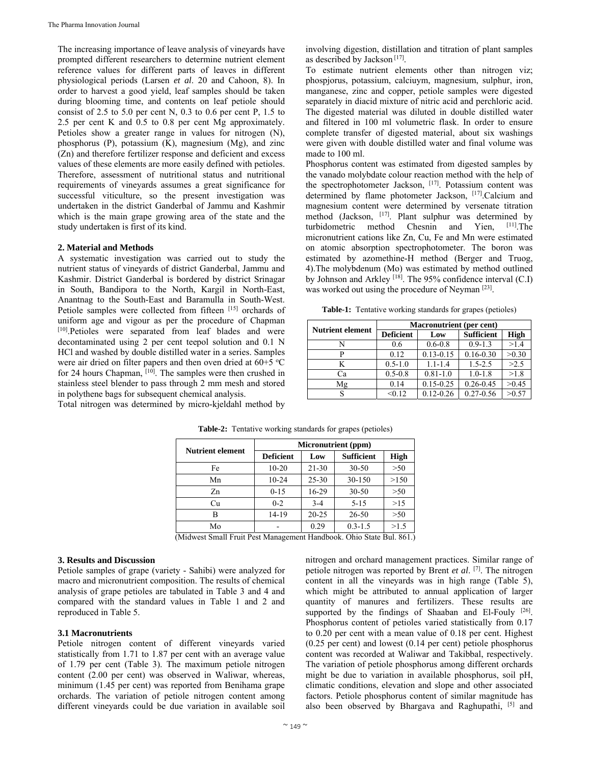The increasing importance of leave analysis of vineyards have prompted different researchers to determine nutrient element reference values for different parts of leaves in different physiological periods (Larsen *et al*. 20 and Cahoon, 8). In order to harvest a good yield, leaf samples should be taken during blooming time, and contents on leaf petiole should consist of 2.5 to 5.0 per cent N, 0.3 to 0.6 per cent P, 1.5 to 2.5 per cent K and 0.5 to 0.8 per cent Mg approximately. Petioles show a greater range in values for nitrogen (N), phosphorus (P), potassium (K), magnesium (Mg), and zinc (Zn) and therefore fertilizer response and deficient and excess values of these elements are more easily defined with petioles. Therefore, assessment of nutritional status and nutritional requirements of vineyards assumes a great significance for successful viticulture, so the present investigation was undertaken in the district Ganderbal of Jammu and Kashmir which is the main grape growing area of the state and the study undertaken is first of its kind.

## **2. Material and Methods**

A systematic investigation was carried out to study the nutrient status of vineyards of district Ganderbal, Jammu and Kashmir. District Ganderbal is bordered by district Srinagar in South, Bandipora to the North, Kargil in North-East, Anantnag to the South-East and Baramulla in South-West. Petiole samples were collected from fifteen [15] orchards of uniform age and vigour as per the procedure of Chapman [10].Petioles were separated from leaf blades and were decontaminated using 2 per cent teepol solution and 0.1 N HCl and washed by double distilled water in a series. Samples were air dried on filter papers and then oven dried at 60+5 °C for 24 hours Chapman,  $[10]$ . The samples were then crushed in stainless steel blender to pass through 2 mm mesh and stored in polythene bags for subsequent chemical analysis.

Total nitrogen was determined by micro-kjeldahl method by

involving digestion, distillation and titration of plant samples as described by Jackson [17].

To estimate nutrient elements other than nitrogen viz; phospjorus, potassium, calciuym, magnesium, sulphur, iron, manganese, zinc and copper, petiole samples were digested separately in diacid mixture of nitric acid and perchloric acid. The digested material was diluted in double distilled water and filtered in 100 ml volumetric flask. In order to ensure complete transfer of digested material, about six washings were given with double distilled water and final volume was made to 100 ml.

Phosphorus content was estimated from digested samples by the vanado molybdate colour reaction method with the help of the spectrophotometer Jackson, [17]. Potassium content was determined by flame photometer Jackson, [17].Calcium and magnesium content were determined by versenate titration method (Jackson,  $[17]$ . Plant sulphur was determined by turbidometric method Chesnin and Yien,  $[11]$ . The turbidometric method Chesnin and Yien, micronutrient cations like Zn, Cu, Fe and Mn were estimated on atomic absorption spectrophotometer. The boron was estimated by azomethine-H method (Berger and Truog, 4).The molybdenum (Mo) was estimated by method outlined by Johnson and Arkley <sup>[18]</sup>. The 95% confidence interval (C.I) was worked out using the procedure of Neyman [23].

**Table-1:** Tentative working standards for grapes (petioles)

| <b>Nutrient element</b> | <b>Macronutrient</b> (per cent) |               |                   |             |  |  |
|-------------------------|---------------------------------|---------------|-------------------|-------------|--|--|
|                         | <b>Deficient</b>                | Low           | <b>Sufficient</b> | <b>High</b> |  |  |
| N                       | 0.6                             | $0.6 - 0.8$   | $0.9 - 1.3$       | >1.4        |  |  |
| D                       | 0.12                            | $0.13 - 0.15$ | $0.16 - 0.30$     | >0.30       |  |  |
| K                       | $0.5 - 1.0$                     | $1.1 - 1.4$   | $1.5 - 2.5$       | >2.5        |  |  |
| Ca                      | $0.5 - 0.8$                     | $0.81 - 1.0$  | $1.0 - 1.8$       | >1.8        |  |  |
| Mg                      | 0.14                            | $0.15 - 0.25$ | $0.26 - 0.45$     | >0.45       |  |  |
| S                       | < 0.12                          | $0.12 - 0.26$ | $0.27 - 0.56$     | >0.57       |  |  |

| <b>Nutrient element</b> | Micronutrient (ppm) |           |                   |       |  |
|-------------------------|---------------------|-----------|-------------------|-------|--|
|                         | <b>Deficient</b>    | Low       | <b>Sufficient</b> | High  |  |
| Fe                      | $10-20$             | $21 - 30$ | $30 - 50$         | >50   |  |
| Mn                      | $10 - 24$           | $25 - 30$ | 30-150            | >150  |  |
| Zn                      | $0 - 1.5$           | 16-29     | $30 - 50$         | $>50$ |  |
| Cu                      | $0 - 2$             | $3-4$     | $5 - 15$          | >15   |  |
| В                       | 14-19               | $20 - 25$ | $26 - 50$         | $>50$ |  |
| Mo                      |                     | 0.29      | $0.3 - 1.5$       | >1.5  |  |

**Table-2:** Tentative working standards for grapes (petioles)

(Midwest Small Fruit Pest Management Handbook. Ohio State Bul. 861.)

# **3. Results and Discussion**

Petiole samples of grape (variety - Sahibi) were analyzed for macro and micronutrient composition. The results of chemical analysis of grape petioles are tabulated in Table 3 and 4 and compared with the standard values in Table 1 and 2 and reproduced in Table 5.

# **3.1 Macronutrients**

Petiole nitrogen content of different vineyards varied statistically from 1.71 to 1.87 per cent with an average value of 1.79 per cent (Table 3). The maximum petiole nitrogen content (2.00 per cent) was observed in Waliwar, whereas, minimum (1.45 per cent) was reported from Benihama grape orchards. The variation of petiole nitrogen content among different vineyards could be due variation in available soil

nitrogen and orchard management practices. Similar range of petiole nitrogen was reported by Brent *et al*. [7]. The nitrogen content in all the vineyards was in high range (Table 5), which might be attributed to annual application of larger quantity of manures and fertilizers. These results are supported by the findings of Shaaban and El-Fouly [26]. Phosphorus content of petioles varied statistically from 0.17 to 0.20 per cent with a mean value of 0.18 per cent. Highest (0.25 per cent) and lowest (0.14 per cent) petiole phosphorus content was recorded at Waliwar and Takibbal, respectively. The variation of petiole phosphorus among different orchards might be due to variation in available phosphorus, soil pH, climatic conditions, elevation and slope and other associated factors. Petiole phosphorus content of similar magnitude has also been observed by Bhargava and Raghupathi, [5] and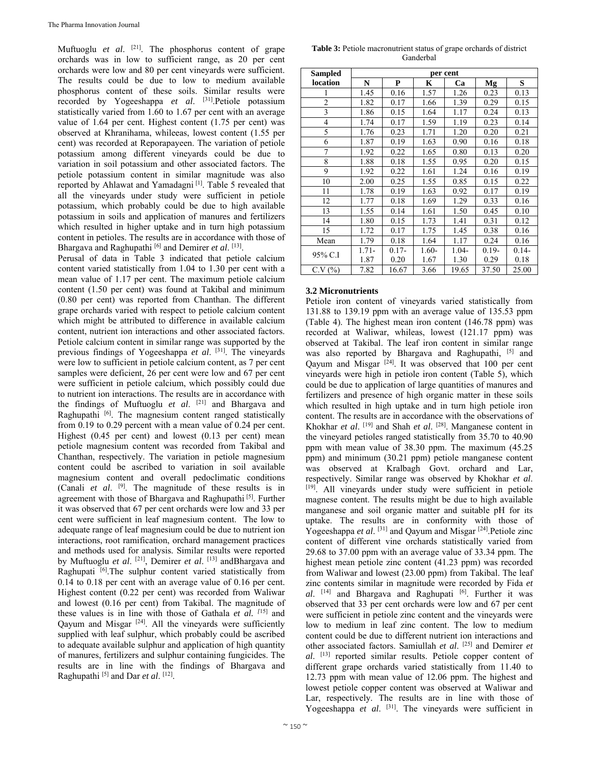Muftuoglu *et al.* <sup>[21]</sup>. The phosphorus content of grape orchards was in low to sufficient range, as 20 per cent orchards were low and 80 per cent vineyards were sufficient. The results could be due to low to medium available phosphorus content of these soils. Similar results were recorded by Yogeeshappa *et al*. [31].Petiole potassium statistically varied from 1.60 to 1.67 per cent with an average value of 1.64 per cent. Highest content (1.75 per cent) was observed at Khranihama, whileeas, lowest content (1.55 per cent) was recorded at Reporapayeen. The variation of petiole potassium among different vineyards could be due to variation in soil potassium and other associated factors. The petiole potassium content in similar magnitude was also reported by Ahlawat and Yamadagni<sup>[1]</sup>. Table 5 revealed that all the vineyards under study were sufficient in petiole potassium, which probably could be due to high available potassium in soils and application of manures and fertilizers which resulted in higher uptake and in turn high potassium content in petioles. The results are in accordance with those of Bhargava and Raghupathi [6] and Demirer *et al*. [13].

Perusal of data in Table 3 indicated that petiole calcium content varied statistically from 1.04 to 1.30 per cent with a mean value of 1.17 per cent. The maximum petiole calcium content (1.50 per cent) was found at Takibal and minimum (0.80 per cent) was reported from Chanthan. The different grape orchards varied with respect to petiole calcium content which might be attributed to difference in available calcium content, nutrient ion interactions and other associated factors. Petiole calcium content in similar range was supported by the previous findings of Yogeeshappa *et al*. [31]. The vineyards were low to sufficient in petiole calcium content, as 7 per cent samples were deficient, 26 per cent were low and 67 per cent were sufficient in petiole calcium, which possibly could due to nutrient ion interactions. The results are in accordance with the findings of Muftuoglu *et al*. [21] and Bhargava and Raghupathi<sup>[6]</sup>. The magnesium content ranged statistically from 0.19 to 0.29 percent with a mean value of 0.24 per cent. Highest (0.45 per cent) and lowest (0.13 per cent) mean petiole magnesium content was recorded from Takibal and Chanthan, respectively. The variation in petiole magnesium content could be ascribed to variation in soil available magnesium content and overall pedoclimatic conditions (Canali *et al*. [9]. The magnitude of these results is in agreement with those of Bhargava and Raghupathi<sup>[5]</sup>. Further it was observed that 67 per cent orchards were low and 33 per cent were sufficient in leaf magnesium content. The low to adequate range of leaf magnesium could be due to nutrient ion interactions, root ramification, orchard management practices and methods used for analysis. Similar results were reported by Muftuoglu *et al*. [21], Demirer *et al*. [13] andBhargava and Raghupati <sup>[6]</sup>.The sulphur content varied statistically from 0.14 to 0.18 per cent with an average value of 0.16 per cent. Highest content (0.22 per cent) was recorded from Waliwar and lowest (0.16 per cent) from Takibal. The magnitude of these values is in line with those of Gathala *et al. [*15] and Qayum and Misgar [24]. All the vineyards were sufficiently supplied with leaf sulphur, which probably could be ascribed to adequate available sulphur and application of high quantity of manures, fertilizers and sulphur containing fungicides. The results are in line with the findings of Bhargava and Raghupathi [5] and Dar *et al*. [12].

**Table 3:** Petiole macronutrient status of grape orchards of district Ganderbal

| Sampled        | per cent |          |         |          |          |          |
|----------------|----------|----------|---------|----------|----------|----------|
| location       | N        | P        | K       | Ca       | Mg       | S        |
| 1              | 1.45     | 0.16     | 1.57    | 1.26     | 0.23     | 0.13     |
| $\overline{2}$ | 1.82     | 0.17     | 1.66    | 1.39     | 0.29     | 0.15     |
| 3              | 1.86     | 0.15     | 1.64    | 1.17     | 0.24     | 0.13     |
| 4              | 1.74     | 0.17     | 1.59    | 1.19     | 0.23     | 0.14     |
| 5              | 1.76     | 0.23     | 1.71    | 1.20     | 0.20     | 0.21     |
| 6              | 1.87     | 0.19     | 1.63    | 0.90     | 0.16     | 0.18     |
| 7              | 1.92     | 0.22     | 1.65    | 0.80     | 0.13     | 0.20     |
| 8              | 1.88     | 0.18     | 1.55    | 0.95     | 0.20     | 0.15     |
| 9              | 1.92     | 0.22     | 1.61    | 1.24     | 0.16     | 0.19     |
| 10             | 2.00     | 0.25     | 1.55    | 0.85     | 0.15     | 0.22     |
| 11             | 1.78     | 0.19     | 1.63    | 0.92     | 0.17     | 0.19     |
| 12             | 1.77     | 0.18     | 1.69    | 1.29     | 0.33     | 0.16     |
| 13             | 1.55     | 0.14     | 1.61    | 1.50     | 0.45     | 0.10     |
| 14             | 1.80     | 0.15     | 1.73    | 1.41     | 0.31     | 0.12     |
| 15             | 1.72     | 0.17     | 1.75    | 1.45     | 0.38     | 0.16     |
| Mean           | 1.79     | 0.18     | 1.64    | 1.17     | 0.24     | 0.16     |
|                | $1.71 -$ | $0.17 -$ | $1.60-$ | $1.04 -$ | $0.19 -$ | $0.14 -$ |
| 95% C.I        | 1.87     | 0.20     | 1.67    | 1.30     | 0.29     | 0.18     |
| $C.V.$ (%)     | 7.82     | 16.67    | 3.66    | 19.65    | 37.50    | 25.00    |

## **3.2 Micronutrients**

Petiole iron content of vineyards varied statistically from 131.88 to 139.19 ppm with an average value of 135.53 ppm (Table 4). The highest mean iron content (146.78 ppm) was recorded at Waliwar, whileas, lowest (121.17 ppm) was observed at Takibal. The leaf iron content in similar range was also reported by Bhargava and Raghupathi, <sup>[5]</sup> and Qayum and Misgar  $[24]$ . It was observed that 100 per cent vineyards were high in petiole iron content (Table 5), which could be due to application of large quantities of manures and fertilizers and presence of high organic matter in these soils which resulted in high uptake and in turn high petiole iron content. The results are in accordance with the observations of Khokhar *et al*. [19] and Shah *et al*. [28]. Manganese content in the vineyard petioles ranged statistically from 35.70 to 40.90 ppm with mean value of 38.30 ppm. The maximum (45.25 ppm) and minimum (30.21 ppm) petiole manganese content was observed at Kralbagh Govt. orchard and Lar, respectively. Similar range was observed by Khokhar *et al*. [19]. All vineyards under study were sufficient in petiole magnese content. The results might be due to high available manganese and soil organic matter and suitable pH for its uptake. The results are in conformity with those of Yogeeshappa *et al*. [31] and Qayum and Misgar [24].Petiole zinc content of different vine orchards statistically varied from 29.68 to 37.00 ppm with an average value of 33.34 ppm. The highest mean petiole zinc content (41.23 ppm) was recorded from Waliwar and lowest (23.00 ppm) from Takibal. The leaf zinc contents similar in magnitude were recorded by Fida *et al*. [14] and Bhargava and Raghupati [6]. Further it was observed that 33 per cent orchards were low and 67 per cent were sufficient in petiole zinc content and the vineyards were low to medium in leaf zinc content. The low to medium content could be due to different nutrient ion interactions and other associated factors. Samiullah *et al*. [25] and Demirer *et al*. [13] reported similar results. Petiole copper content of different grape orchards varied statistically from 11.40 to 12.73 ppm with mean value of 12.06 ppm. The highest and lowest petiole copper content was observed at Waliwar and Lar, respectively. The results are in line with those of Yogeeshappa *et al.* <sup>[31]</sup>. The vineyards were sufficient in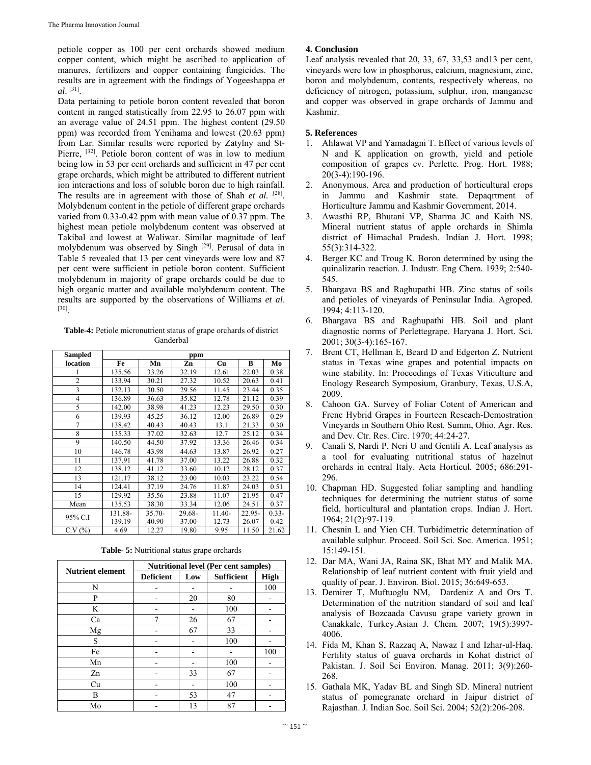petiole copper as 100 per cent orchards showed medium copper content, which might be ascribed to application of manures, fertilizers and copper containing fungicides. The results are in agreement with the findings of Yogeeshappa *et al*. [31].

Data pertaining to petiole boron content revealed that boron content in ranged statistically from 22.95 to 26.07 ppm with an average value of 24.51 ppm. The highest content (29.50 ppm) was recorded from Yenihama and lowest (20.63 ppm) from Lar. Similar results were reported by Zatylny and St-Pierre, <sup>[32]</sup>. Petiole boron content of was in low to medium being low in 53 per cent orchards and sufficient in 47 per cent grape orchards, which might be attributed to different nutrient ion interactions and loss of soluble boron due to high rainfall. The results are in agreement with those of Shah *et al. [*28]. Molybdenum content in the petiole of different grape orchards varied from 0.33-0.42 ppm with mean value of 0.37 ppm. The highest mean petiole molybdenum content was observed at Takibal and lowest at Waliwar. Similar magnitude of leaf molybdenum was observed by Singh [29]. Perusal of data in Table 5 revealed that 13 per cent vineyards were low and 87 per cent were sufficient in petiole boron content. Sufficient molybdenum in majority of grape orchards could be due to high organic matter and available molybdenum content. The results are supported by the observations of Williams *et al*. [30].

**Table-4:** Petiole micronutrient status of grape orchards of district Ganderbal

| <b>Sampled</b> | ppm     |          |        |           |        |          |
|----------------|---------|----------|--------|-----------|--------|----------|
| location       | Fe      | Mn       | Zn     | <b>Cu</b> | B      | Mo       |
|                | 135.56  | 33.26    | 32.19  | 12.61     | 22.03  | 0.38     |
| $\overline{c}$ | 133.94  | 30.21    | 27.32  | 10.52     | 20.63  | 0.41     |
| 3              | 132.13  | 30.50    | 29.56  | 11.45     | 23.44  | 0.35     |
| $\overline{4}$ | 136.89  | 36.63    | 35.82  | 12.78     | 21.12  | 0.39     |
| 5              | 142.00  | 38.98    | 41.23  | 12.23     | 29.50  | 0.30     |
| 6              | 139.93  | 45.25    | 36.12  | 12.00     | 26.89  | 0.29     |
| $\overline{7}$ | 138.42  | 40.43    | 40.43  | 13.1      | 21.33  | 0.30     |
| 8              | 135.33  | 37.02    | 32.63  | 12.7      | 25.12  | 0.34     |
| 9              | 140.50  | 44.50    | 37.92  | 13.36     | 26.46  | 0.34     |
| 10             | 146.78  | 43.98    | 44.63  | 13.87     | 26.92  | 0.27     |
| 11             | 137.91  | 41.78    | 37.00  | 13.22     | 26.88  | 0.32     |
| 12             | 138.12  | 41.12    | 33.60  | 10.12     | 28.12  | 0.37     |
| 13             | 121.17  | 38.12    | 23.00  | 10.03     | 23.22  | 0.54     |
| 14             | 124.41  | 37.19    | 24.76  | 11.87     | 24.03  | 0.51     |
| 15             | 129.92  | 35.56    | 23.88  | 11.07     | 21.95  | 0.47     |
| Mean           | 135.53  | 38.30    | 33.34  | 12.06     | 24.51  | 0.37     |
| 95% C.I        | 131.88- | $35.70-$ | 29.68- | 11.40-    | 22.95- | $0.33 -$ |
|                | 139.19  | 40.90    | 37.00  | 12.73     | 26.07  | 0.42     |
| C.V(%)         | 4.69    | 12.27    | 19.80  | 9.95      | 11.50  | 21.62    |

**Table- 5:** Nutritional status grape orchards

| <b>Nutrient element</b> | <b>Nutritional level (Per cent samples)</b> |     |                   |             |  |
|-------------------------|---------------------------------------------|-----|-------------------|-------------|--|
|                         | <b>Deficient</b>                            | Low | <b>Sufficient</b> | <b>High</b> |  |
| N                       |                                             |     |                   | 100         |  |
| P                       |                                             | 20  | 80                |             |  |
| K                       |                                             |     | 100               |             |  |
| Ca                      | 7                                           | 26  | 67                |             |  |
| Mg                      |                                             | 67  | 33                |             |  |
| S                       |                                             |     | 100               |             |  |
| Fe                      |                                             |     |                   | 100         |  |
| Mn                      |                                             |     | 100               |             |  |
| Zn                      |                                             | 33  | 67                |             |  |
| Cu                      |                                             | -   | 100               |             |  |
| В                       |                                             | 53  | 47                |             |  |
| Mo                      |                                             | 13  | 87                |             |  |

# **4. Conclusion**

Leaf analysis revealed that 20, 33, 67, 33,53 and13 per cent, vineyards were low in phosphorus, calcium, magnesium, zinc, boron and molybdenum, contents, respectively whereas, no deficiency of nitrogen, potassium, sulphur, iron, manganese and copper was observed in grape orchards of Jammu and Kashmir.

# **5. References**

- 1. Ahlawat VP and Yamadagni T. Effect of various levels of N and K application on growth, yield and petiole composition of grapes cv. Perlette. Prog. Hort. 1988; 20(3-4):190-196.
- 2. Anonymous. Area and production of horticultural crops in Jammu and Kashmir state. Depaqrtment of Horticulture Jammu and Kashmir Government, 2014.
- 3. Awasthi RP, Bhutani VP, Sharma JC and Kaith NS. Mineral nutrient status of apple orchards in Shimla district of Himachal Pradesh. Indian J. Hort. 1998; 55(3):314-322.
- 4. Berger KC and Troug K. Boron determined by using the quinalizarin reaction. J. Industr. Eng Chem*.* 1939; 2:540- 545.
- 5. Bhargava BS and Raghupathi HB. Zinc status of soils and petioles of vineyards of Peninsular India. Agroped. 1994; 4:113-120.
- 6. Bhargava BS and Raghupathi HB. Soil and plant diagnostic norms of Perlettegrape. Haryana J. Hort. Sci. 2001; 30(3-4):165-167.
- 7. Brent CT, Hellman E, Beard D and Edgerton Z. Nutrient status in Texas wine grapes and potential impacts on wine stability. In: Proceedings of Texas Viticulture and Enology Research Symposium, Granbury, Texas, U.S.A, 2009.
- 8. Cahoon GA. Survey of Foliar Cotent of American and Frenc Hybrid Grapes in Fourteen Reseach-Demostration Vineyards in Southern Ohio Rest. Summ, Ohio. Agr. Res. and Dev. Ctr. Res. Circ. 1970; 44:24-27.
- 9. Canali S, Nardi P, Neri U and Gentili A. Leaf analysis as a tool for evaluating nutritional status of hazelnut orchards in central Italy. Acta Horticul*.* 2005; 686:291- 296.
- 10. Chapman HD. Suggested foliar sampling and handling techniques for determining the nutrient status of some field, horticultural and plantation crops. Indian J. Hort*.*  1964; 21(2):97-119.
- 11. Chesnin L and Yien CH. Turbidimetric determination of available sulphur. Proceed. Soil Sci. Soc. America. 1951; 15:149-151.
- 12. Dar MA, Wani JA, Raina SK, Bhat MY and Malik MA. Relationship of leaf nutrient content with fruit yield and quality of pear. J. Environ. Biol. 2015; 36:649-653.
- 13. Demirer T, Muftuoglu NM, Dardeniz A and Ors T. Determination of the nutrition standard of soil and leaf analysis of Bozcaada Cavusu grape variety grown in Canakkale, Turkey.Asian J. Chem*.* 2007; 19(5):3997- 4006.
- 14. Fida M, Khan S, Razzaq A, Nawaz I and Izhar-ul-Haq. Fertility status of guava orchards in Kohat district of Pakistan. J. Soil Sci Environ. Manag. 2011; 3(9):260- 268.
- 15. Gathala MK, Yadav BL and Singh SD. Mineral nutrient status of pomegranate orchard in Jaipur district of Rajasthan. J. Indian Soc. Soil Sci. 2004; 52(2):206-208.